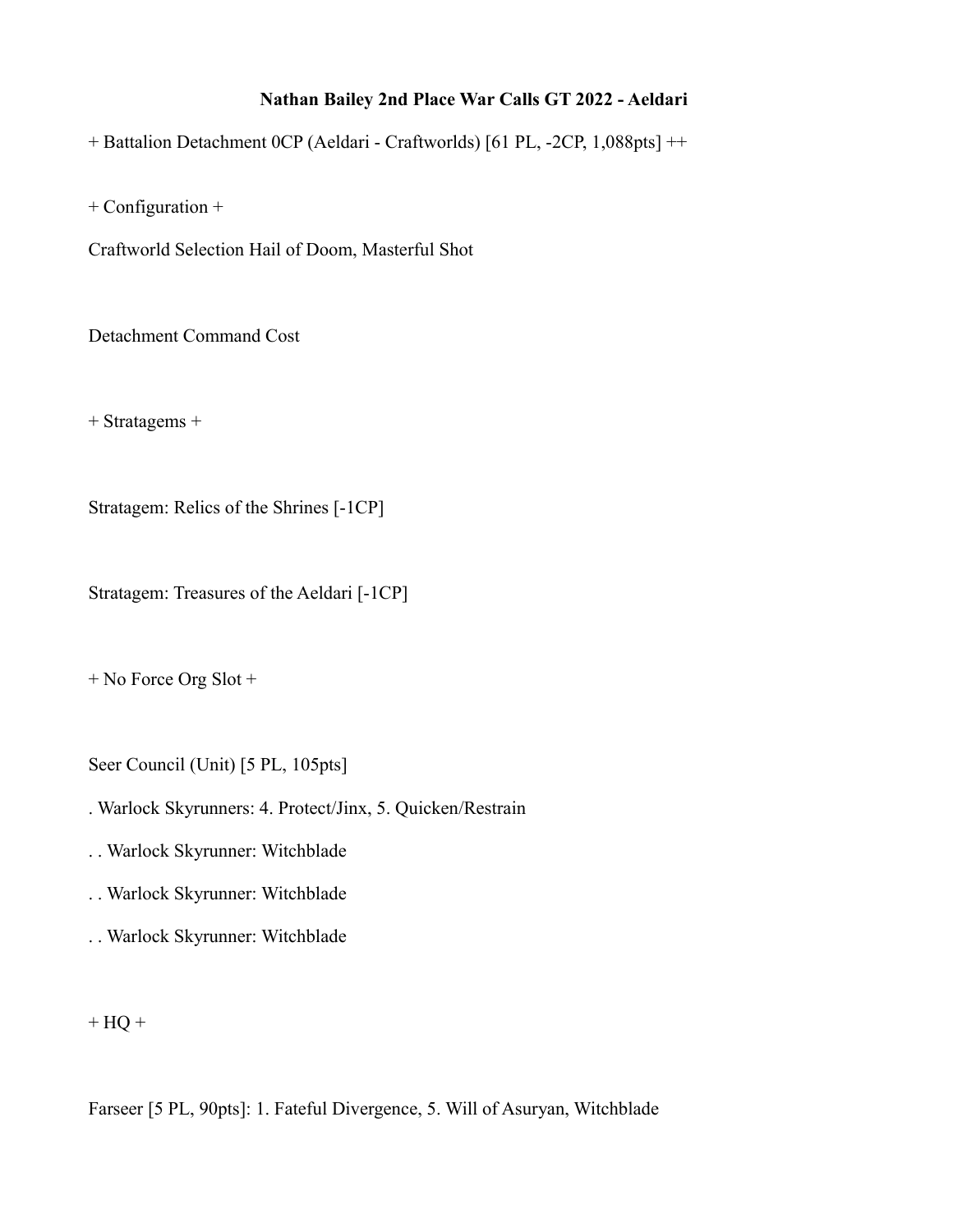## **Nathan Bailey 2nd Place War Calls GT 2022 - Aeldari**

+ Battalion Detachment 0CP (Aeldari - Craftworlds) [61 PL, -2CP, 1,088pts] ++

+ Configuration +

Craftworld Selection Hail of Doom, Masterful Shot

Detachment Command Cost

+ Stratagems +

Stratagem: Relics of the Shrines [-1CP]

Stratagem: Treasures of the Aeldari [-1CP]

+ No Force Org Slot +

Seer Council (Unit) [5 PL, 105pts]

. Warlock Skyrunners: 4. Protect/Jinx, 5. Quicken/Restrain

- . . Warlock Skyrunner: Witchblade
- . . Warlock Skyrunner: Witchblade
- . . Warlock Skyrunner: Witchblade

 $+$  HQ  $+$ 

Farseer [5 PL, 90pts]: 1. Fateful Divergence, 5. Will of Asuryan, Witchblade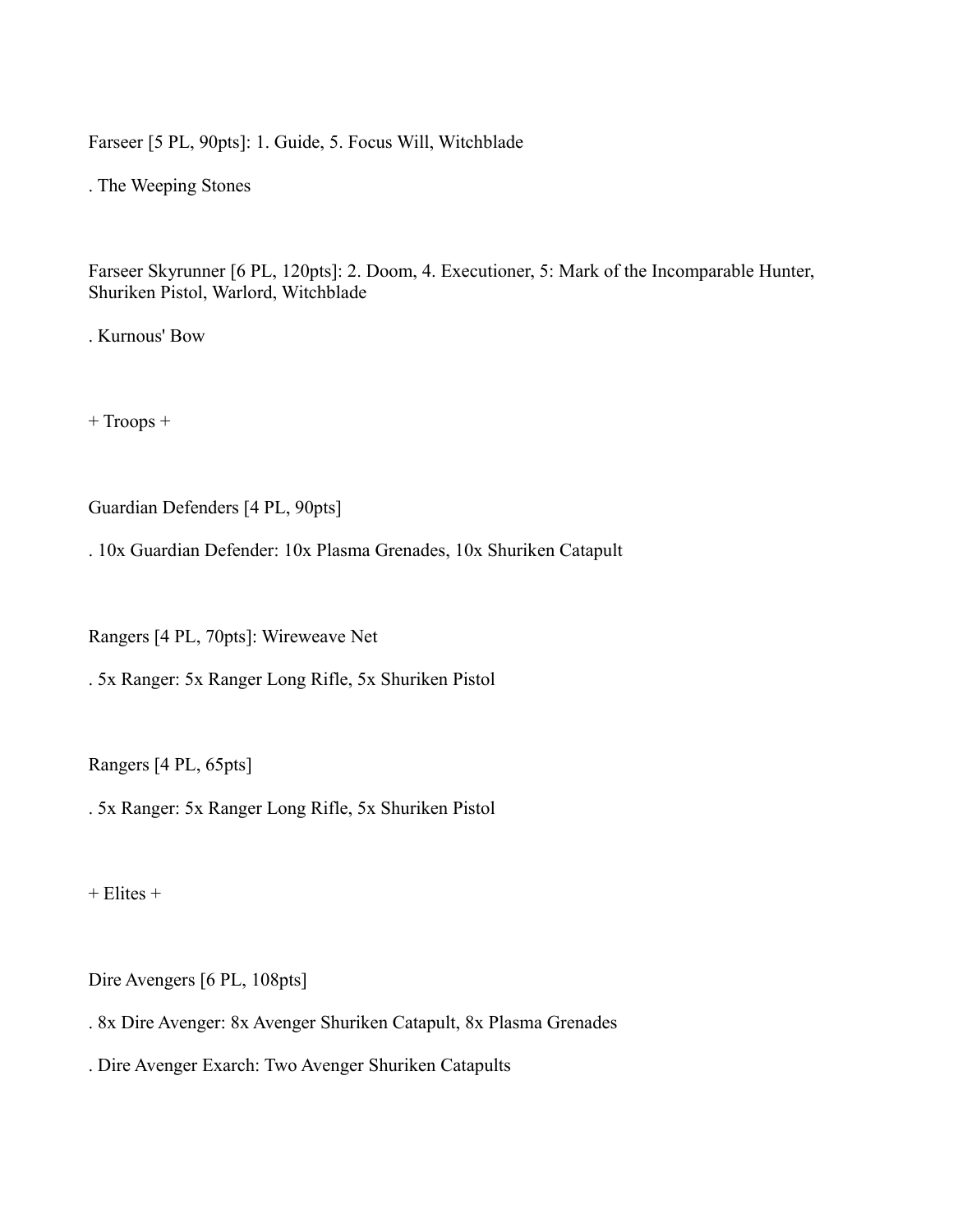Farseer [5 PL, 90pts]: 1. Guide, 5. Focus Will, Witchblade

. The Weeping Stones

Farseer Skyrunner [6 PL, 120pts]: 2. Doom, 4. Executioner, 5: Mark of the Incomparable Hunter, Shuriken Pistol, Warlord, Witchblade

. Kurnous' Bow

+ Troops +

Guardian Defenders [4 PL, 90pts]

. 10x Guardian Defender: 10x Plasma Grenades, 10x Shuriken Catapult

Rangers [4 PL, 70pts]: Wireweave Net

. 5x Ranger: 5x Ranger Long Rifle, 5x Shuriken Pistol

Rangers [4 PL, 65pts]

. 5x Ranger: 5x Ranger Long Rifle, 5x Shuriken Pistol

 $+$  Elites  $+$ 

Dire Avengers [6 PL, 108pts]

. 8x Dire Avenger: 8x Avenger Shuriken Catapult, 8x Plasma Grenades

. Dire Avenger Exarch: Two Avenger Shuriken Catapults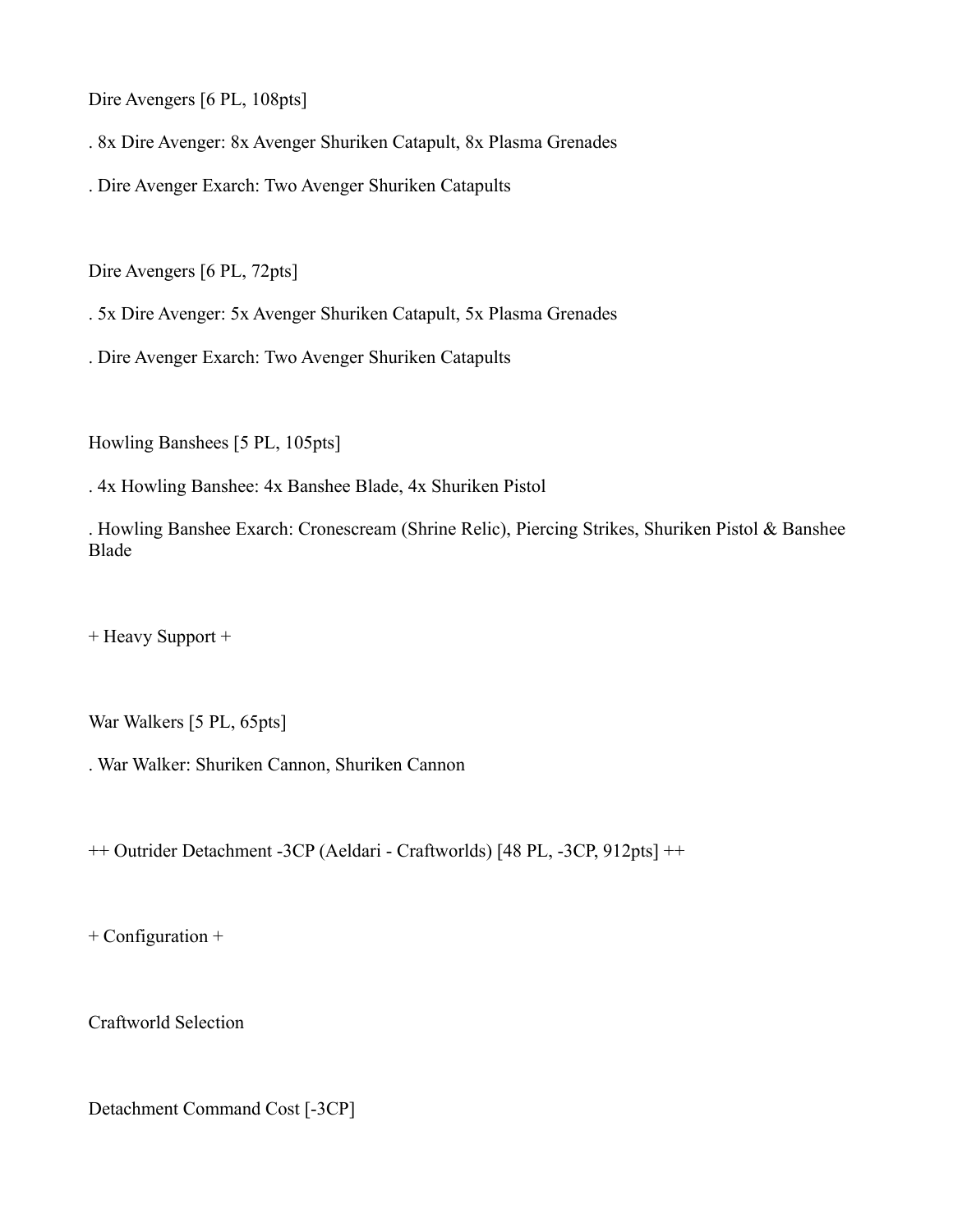Dire Avengers [6 PL, 108pts]

. 8x Dire Avenger: 8x Avenger Shuriken Catapult, 8x Plasma Grenades

. Dire Avenger Exarch: Two Avenger Shuriken Catapults

Dire Avengers [6 PL, 72pts]

. 5x Dire Avenger: 5x Avenger Shuriken Catapult, 5x Plasma Grenades

. Dire Avenger Exarch: Two Avenger Shuriken Catapults

Howling Banshees [5 PL, 105pts]

. 4x Howling Banshee: 4x Banshee Blade, 4x Shuriken Pistol

. Howling Banshee Exarch: Cronescream (Shrine Relic), Piercing Strikes, Shuriken Pistol & Banshee Blade

+ Heavy Support +

War Walkers [5 PL, 65pts]

. War Walker: Shuriken Cannon, Shuriken Cannon

++ Outrider Detachment -3CP (Aeldari - Craftworlds) [48 PL, -3CP, 912pts] ++

+ Configuration +

Craftworld Selection

Detachment Command Cost [-3CP]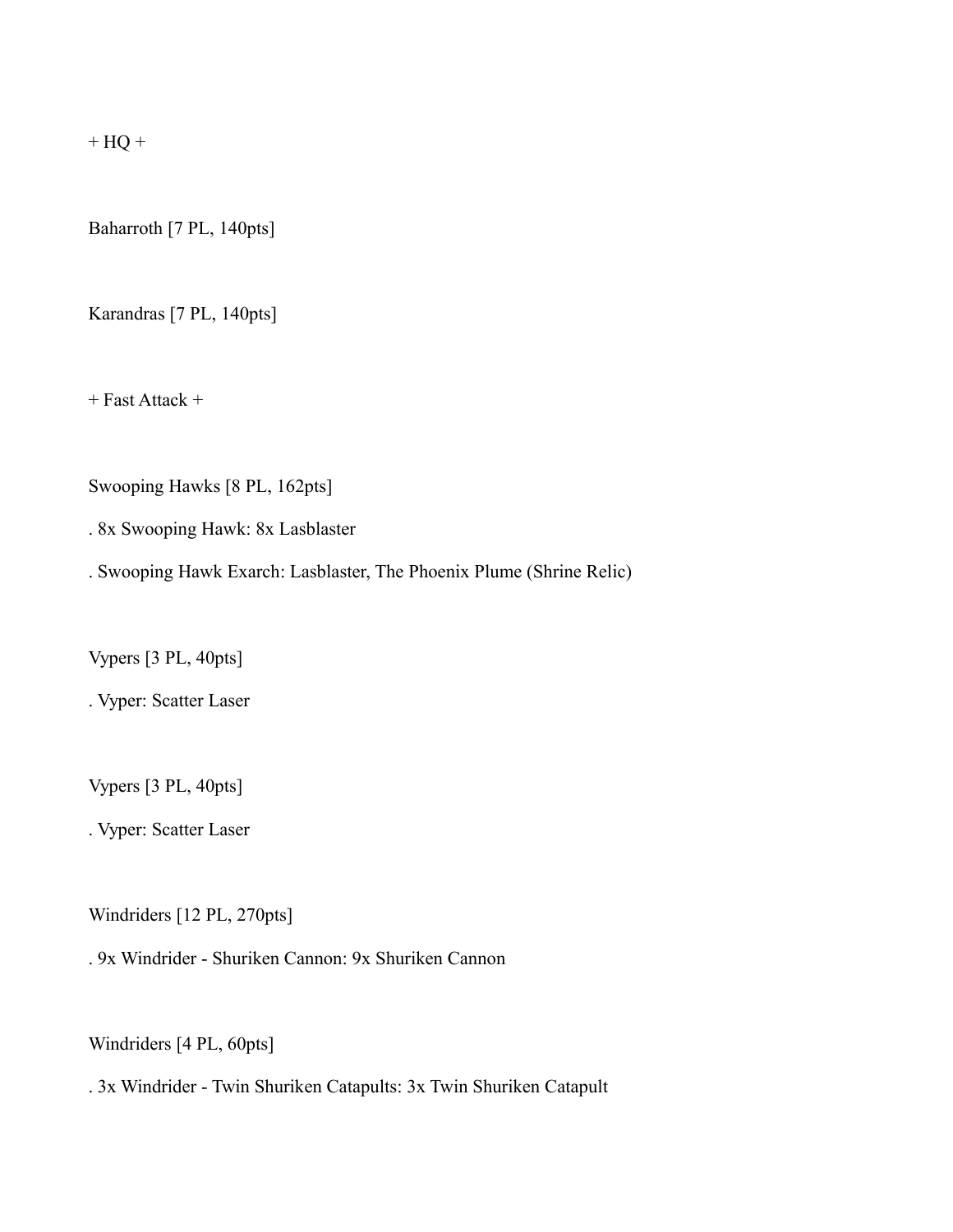$+$  HQ  $+$ 

Baharroth [7 PL, 140pts]

Karandras [7 PL, 140pts]

 $+$  Fast Attack  $+$ 

Swooping Hawks [8 PL, 162pts]

. 8x Swooping Hawk: 8x Lasblaster

. Swooping Hawk Exarch: Lasblaster, The Phoenix Plume (Shrine Relic)

Vypers [3 PL, 40pts]

. Vyper: Scatter Laser

Vypers [3 PL, 40pts]

. Vyper: Scatter Laser

Windriders [12 PL, 270pts]

. 9x Windrider - Shuriken Cannon: 9x Shuriken Cannon

Windriders [4 PL, 60pts]

. 3x Windrider - Twin Shuriken Catapults: 3x Twin Shuriken Catapult